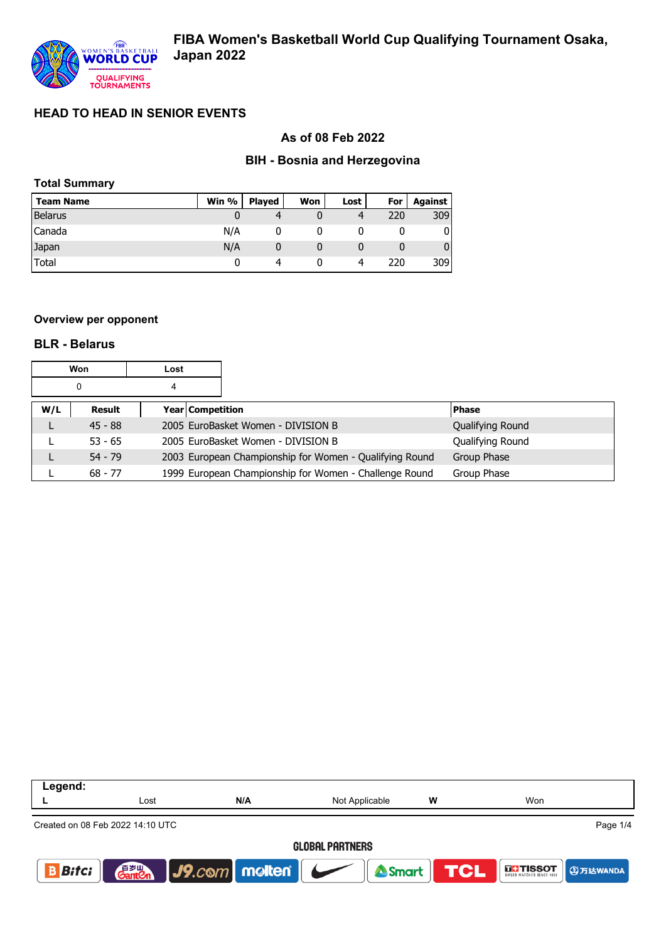

## **As of 08 Feb 2022**

## **BIH - Bosnia and Herzegovina**

|  | <b>Total Summary</b> |
|--|----------------------|
|--|----------------------|

| <b>Team Name</b> | Win % | <b>Played</b> | Won | Lost | For | Against |
|------------------|-------|---------------|-----|------|-----|---------|
| <b>Belarus</b>   |       |               |     |      | 220 | 309     |
| Canada           | N/A   |               |     |      |     |         |
| Japan            | N/A   |               |     |      |     |         |
| Total            |       | Δ             |     |      | 220 | 309     |

#### **Overview per opponent**

#### **BLR - Belarus**

| <b>Won</b><br>Lost |           |   |                  |                                                         |                  |
|--------------------|-----------|---|------------------|---------------------------------------------------------|------------------|
|                    | 0         | 4 |                  |                                                         |                  |
| W/L                | Result    |   | Year Competition |                                                         | <b>Phase</b>     |
| L                  | $45 - 88$ |   |                  | 2005 EuroBasket Women - DIVISION B                      | Qualifying Round |
|                    | $53 - 65$ |   |                  | 2005 EuroBasket Women - DIVISION B                      | Qualifying Round |
| L                  | $54 - 79$ |   |                  | 2003 European Championship for Women - Qualifying Round | Group Phase      |
|                    | $68 - 77$ |   |                  | 1999 European Championship for Women - Challenge Round  | Group Phase      |

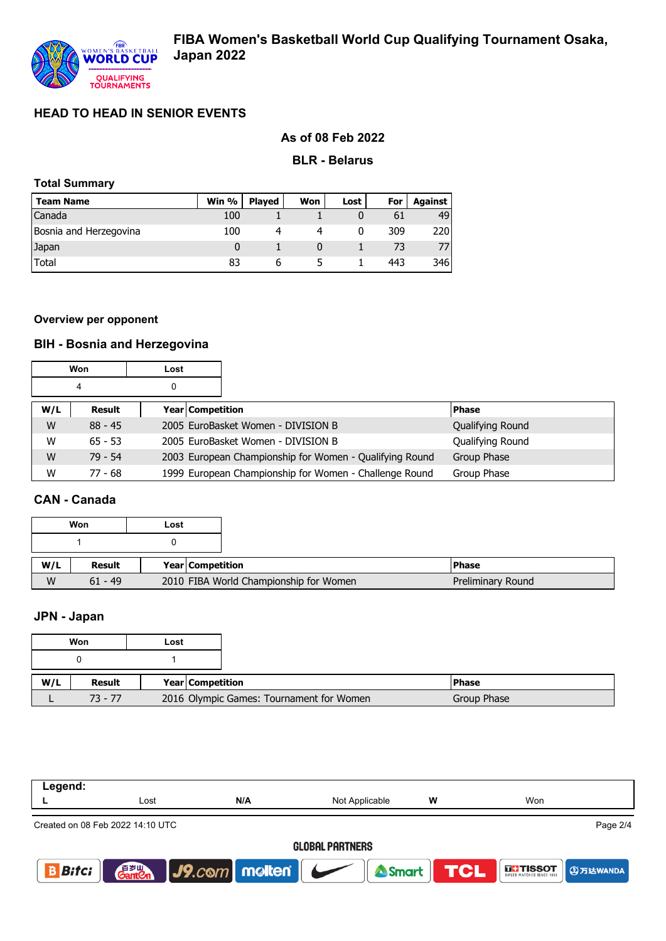# **As of 08 Feb 2022**

### **BLR - Belarus**

## **Total Summary**

| <b>Team Name</b>       | Win $%$ | <b>Plaved</b> | Won | Lost | For | Against |
|------------------------|---------|---------------|-----|------|-----|---------|
| Canada                 | 100     |               |     |      | 61  | 49      |
| Bosnia and Herzegovina | 100     |               |     |      | 309 | 220     |
| Japan                  |         |               |     |      |     |         |
| Total                  | 83      | h             |     |      | 443 | 346     |

### **Overview per opponent**

# **BIH - Bosnia and Herzegovina**

|     | Won<br>Lost |                  |                                                         |                  |
|-----|-------------|------------------|---------------------------------------------------------|------------------|
|     |             | 0                |                                                         |                  |
| W/L | Result      | Year Competition |                                                         | <b>Phase</b>     |
| W   | $88 - 45$   |                  | 2005 EuroBasket Women - DIVISION B                      | Qualifying Round |
| W   | $65 - 53$   |                  | 2005 EuroBasket Women - DIVISION B                      | Qualifying Round |
| W   | $79 - 54$   |                  | 2003 European Championship for Women - Qualifying Round | Group Phase      |
| W   | $77 - 68$   |                  | 1999 European Championship for Women - Challenge Round  | Group Phase      |

## **CAN - Canada**

|     | Won           | Lost |                                        |                   |
|-----|---------------|------|----------------------------------------|-------------------|
|     |               |      |                                        |                   |
| W/L | <b>Result</b> |      | Year Competition                       | <b>Phase</b>      |
| W   | $61 - 49$     |      | 2010 FIBA World Championship for Women | Preliminary Round |

### **JPN - Japan**

| Won |           | Lost                                     |
|-----|-----------|------------------------------------------|
|     |           |                                          |
| W/L | Result    | <b>Year Competition</b>                  |
|     | $73 - 77$ | 2016 Olympic Games: Tournament for Women |

| Legend:                          |      |     |                |   |                                                               |  |  |
|----------------------------------|------|-----|----------------|---|---------------------------------------------------------------|--|--|
|                                  | Lost | N/A | Not Applicable | W | Won                                                           |  |  |
| Created on 08 Feb 2022 14:10 UTC |      |     |                |   | Page 2/4                                                      |  |  |
| <b>GLOBAL PARTNERS</b>           |      |     |                |   |                                                               |  |  |
| <b>Bitci</b>                     |      |     |                |   | <b>Ganten J9. com molten   Smart TCL EFTISSOT</b> @ J3 EVANDA |  |  |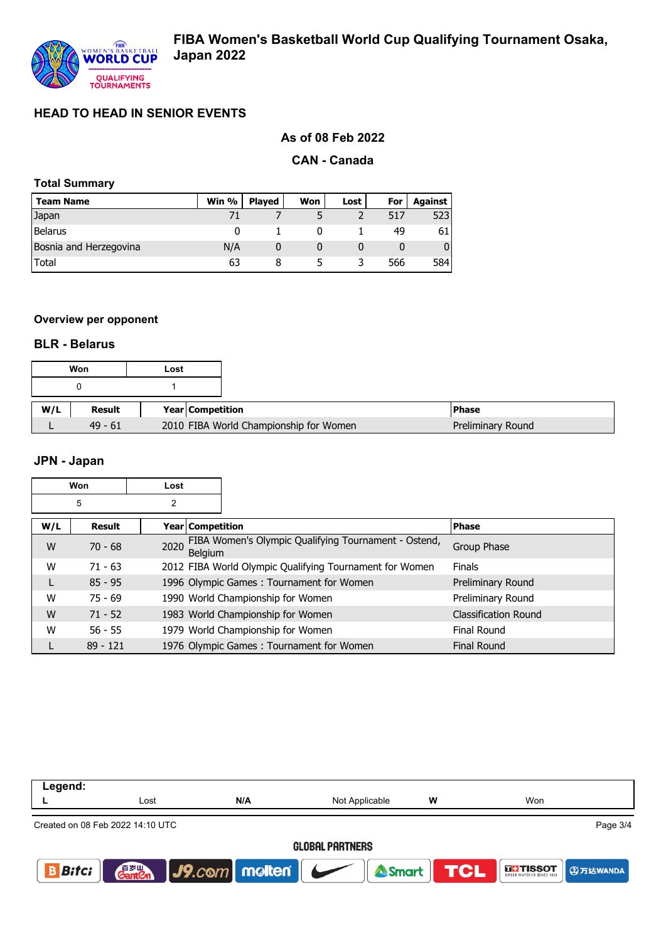

## **As of 08 Feb 2022**

### **CAN - Canada**

## **Total Summary**

| <b>Team Name</b>       | Win % | <b>Plaved</b> | Won | Lost | For | <b>Against</b> |
|------------------------|-------|---------------|-----|------|-----|----------------|
| Japan                  |       |               |     |      | 517 | 523            |
| <b>Belarus</b>         |       |               |     |      | 49  | 61 I           |
| Bosnia and Herzegovina | N/A   |               |     |      |     | 01             |
| Total                  | 63    |               |     |      | 566 | 584I           |

#### **Overview per opponent**

#### **BLR - Belarus**

|     | Won       | Lost |                  |                                        |                   |
|-----|-----------|------|------------------|----------------------------------------|-------------------|
|     |           |      |                  |                                        |                   |
| W/L | Result    |      | Year Competition |                                        | <b>Phase</b>      |
|     | $49 - 61$ |      |                  | 2010 FIBA World Championship for Women | Preliminary Round |

### **JPN - Japan**

|     | Won<br>Lost   |                    |                                                         |                             |
|-----|---------------|--------------------|---------------------------------------------------------|-----------------------------|
|     | 5             | 2                  |                                                         |                             |
| W/L | <b>Result</b> | Year   Competition |                                                         | <b>Phase</b>                |
| W   | $70 - 68$     | 2020<br>Belgium    | FIBA Women's Olympic Qualifying Tournament - Ostend,    | Group Phase                 |
| W   | $71 - 63$     |                    | 2012 FIBA World Olympic Qualifying Tournament for Women | <b>Finals</b>               |
| L   | $85 - 95$     |                    | 1996 Olympic Games: Tournament for Women                | Preliminary Round           |
| W   | $75 - 69$     |                    | 1990 World Championship for Women                       | Preliminary Round           |
| W   | $71 - 52$     |                    | 1983 World Championship for Women                       | <b>Classification Round</b> |
| W   | $56 - 55$     |                    | 1979 World Championship for Women                       | Final Round                 |
|     | $89 - 121$    |                    | 1976 Olympic Games: Tournament for Women                | <b>Final Round</b>          |